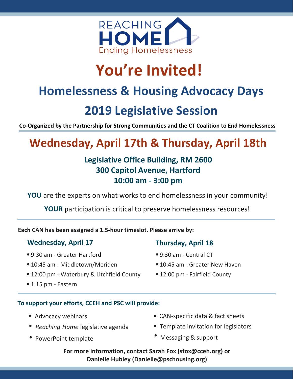

# **You're Invited!**

## **Homelessness & Housing Advocacy Days**

# **2019 Legislative Session**

**Co-Organized by the Partnership for Strong Communities and the CT Coalition to End Homelessness**

## **Wednesday, April 17th & Thursday, April 18th**

## **Legislative Office Building, RM 2600 300 Capitol Avenue, Hartford 10:00 am - 3:00 pm**

**YOU** are the experts on what works to end homelessness in your community!

**YOUR** participation is critical to preserve homelessness resources!

**Each CAN has been assigned a 1.5-hour timeslot. Please arrive by:**

### **Wednesday, April 17 Thursday, April 18**

- 9:30 am Greater Hartford
- 10:45 am Middletown/Meriden
- 12:00 pm Waterbury & Litchfield County
- 1:15 pm Eastern
- 
- 9:30 am Central CT
- 10:45 am Greater New Haven
- 12:00 pm Fairfield County

#### **To support your efforts, CCEH and PSC will provide:**

- Advocacy webinars
- *Reaching Home* legislative agenda
- PowerPoint template
- CAN-specific data & fact sheets
- Template invitation for legislators
- Messaging & support

**For more information, contact Sarah Fox (sfox@cceh.org) or Danielle Hubley (Danielle@pschousing.org)**